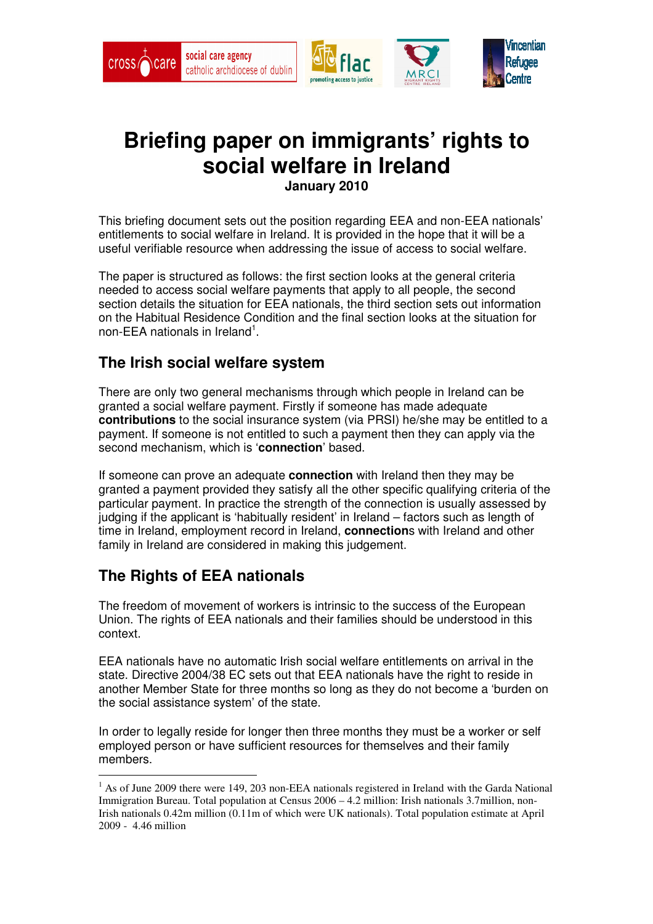

# **Briefing paper on immigrants' rights to social welfare in Ireland**

**January 2010** 

This briefing document sets out the position regarding EEA and non-EEA nationals' entitlements to social welfare in Ireland. It is provided in the hope that it will be a useful verifiable resource when addressing the issue of access to social welfare.

The paper is structured as follows: the first section looks at the general criteria needed to access social welfare payments that apply to all people, the second section details the situation for EEA nationals, the third section sets out information on the Habitual Residence Condition and the final section looks at the situation for non-EEA nationals in Ireland<sup>1</sup>.

## **The Irish social welfare system**

There are only two general mechanisms through which people in Ireland can be granted a social welfare payment. Firstly if someone has made adequate **contributions** to the social insurance system (via PRSI) he/she may be entitled to a payment. If someone is not entitled to such a payment then they can apply via the second mechanism, which is '**connection**' based.

If someone can prove an adequate **connection** with Ireland then they may be granted a payment provided they satisfy all the other specific qualifying criteria of the particular payment. In practice the strength of the connection is usually assessed by judging if the applicant is 'habitually resident' in Ireland – factors such as length of time in Ireland, employment record in Ireland, **connection**s with Ireland and other family in Ireland are considered in making this judgement.

# **The Rights of EEA nationals**

The freedom of movement of workers is intrinsic to the success of the European Union. The rights of EEA nationals and their families should be understood in this context.

EEA nationals have no automatic Irish social welfare entitlements on arrival in the state. Directive 2004/38 EC sets out that EEA nationals have the right to reside in another Member State for three months so long as they do not become a 'burden on the social assistance system' of the state.

In order to legally reside for longer then three months they must be a worker or self employed person or have sufficient resources for themselves and their family members.

<sup>&</sup>lt;sup>1</sup> As of June 2009 there were 149, 203 non-EEA nationals registered in Ireland with the Garda National Immigration Bureau. Total population at Census 2006 – 4.2 million: Irish nationals 3.7million, non-Irish nationals 0.42m million (0.11m of which were UK nationals). Total population estimate at April 2009 - 4.46 million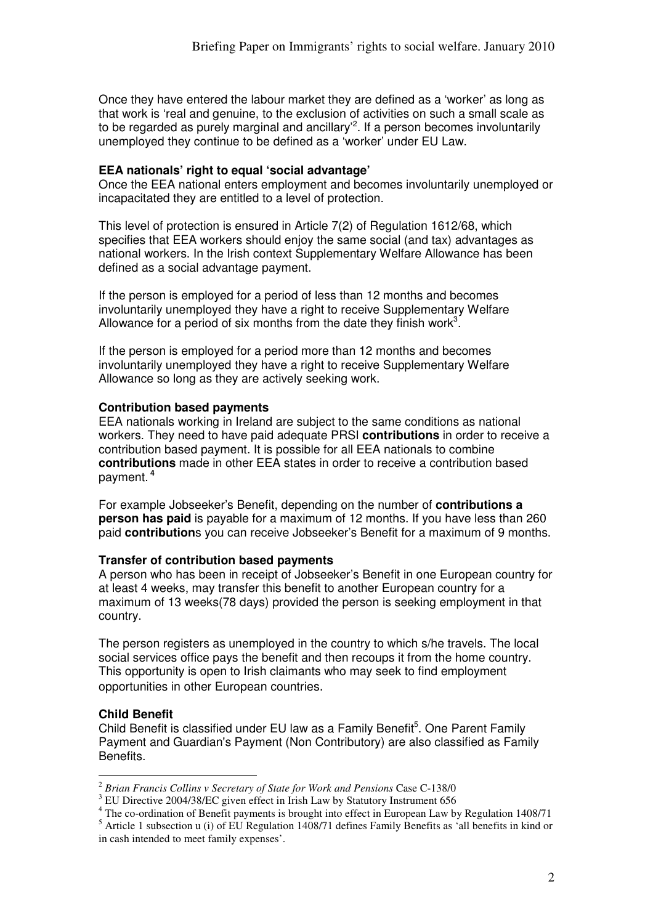Once they have entered the labour market they are defined as a 'worker' as long as that work is 'real and genuine, to the exclusion of activities on such a small scale as to be regarded as purely marginal and ancillary<sup>2</sup>. If a person becomes involuntarily unemployed they continue to be defined as a 'worker' under EU Law.

#### **EEA nationals' right to equal 'social advantage'**

Once the EEA national enters employment and becomes involuntarily unemployed or incapacitated they are entitled to a level of protection.

This level of protection is ensured in Article 7(2) of Regulation 1612/68, which specifies that EEA workers should enjoy the same social (and tax) advantages as national workers. In the Irish context Supplementary Welfare Allowance has been defined as a social advantage payment.

If the person is employed for a period of less than 12 months and becomes involuntarily unemployed they have a right to receive Supplementary Welfare Allowance for a period of six months from the date they finish work<sup>3</sup>.

If the person is employed for a period more than 12 months and becomes involuntarily unemployed they have a right to receive Supplementary Welfare Allowance so long as they are actively seeking work.

#### **Contribution based payments**

EEA nationals working in Ireland are subject to the same conditions as national workers. They need to have paid adequate PRSI **contributions** in order to receive a contribution based payment. It is possible for all EEA nationals to combine **contributions** made in other EEA states in order to receive a contribution based payment.**<sup>4</sup>**

For example Jobseeker's Benefit, depending on the number of **contributions a person has paid** is payable for a maximum of 12 months. If you have less than 260 paid **contribution**s you can receive Jobseeker's Benefit for a maximum of 9 months.

#### **Transfer of contribution based payments**

A person who has been in receipt of Jobseeker's Benefit in one European country for at least 4 weeks, may transfer this benefit to another European country for a maximum of 13 weeks(78 days) provided the person is seeking employment in that country.

The person registers as unemployed in the country to which s/he travels. The local social services office pays the benefit and then recoups it from the home country. This opportunity is open to Irish claimants who may seek to find employment opportunities in other European countries.

### **Child Benefit**

Child Benefit is classified under EU law as a Family Benefit<sup>5</sup>. One Parent Family Payment and Guardian's Payment (Non Contributory) are also classified as Family Benefits.

 $\overline{a}$ <sup>2</sup> *Brian Francis Collins v Secretary of State for Work and Pensions* Case C-138/0

<sup>&</sup>lt;sup>3</sup> EU Directive 2004/38/EC given effect in Irish Law by Statutory Instrument 656

<sup>&</sup>lt;sup>4</sup> The co-ordination of Benefit payments is brought into effect in European Law by Regulation 1408/71

<sup>&</sup>lt;sup>5</sup> Article 1 subsection u (i) of EU Regulation 1408/71 defines Family Benefits as 'all benefits in kind or in cash intended to meet family expenses'.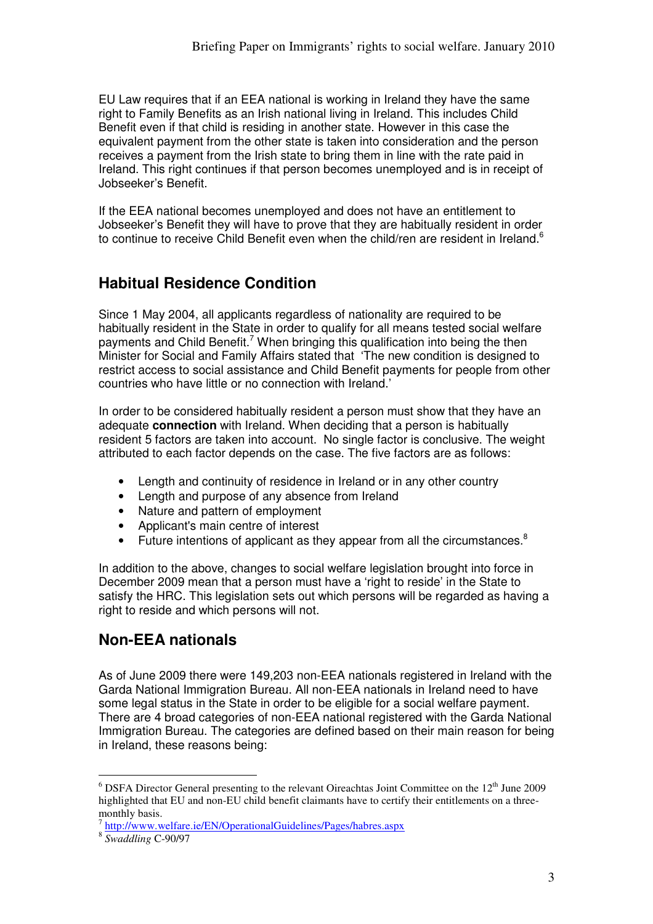EU Law requires that if an EEA national is working in Ireland they have the same right to Family Benefits as an Irish national living in Ireland. This includes Child Benefit even if that child is residing in another state. However in this case the equivalent payment from the other state is taken into consideration and the person receives a payment from the Irish state to bring them in line with the rate paid in Ireland. This right continues if that person becomes unemployed and is in receipt of Jobseeker's Benefit.

If the EEA national becomes unemployed and does not have an entitlement to Jobseeker's Benefit they will have to prove that they are habitually resident in order to continue to receive Child Benefit even when the child/ren are resident in Ireland.<sup>6</sup>

# **Habitual Residence Condition**

Since 1 May 2004, all applicants regardless of nationality are required to be habitually resident in the State in order to qualify for all means tested social welfare payments and Child Benefit.<sup>7</sup> When bringing this qualification into being the then Minister for Social and Family Affairs stated that 'The new condition is designed to restrict access to social assistance and Child Benefit payments for people from other countries who have little or no connection with Ireland.'

In order to be considered habitually resident a person must show that they have an adequate **connection** with Ireland. When deciding that a person is habitually resident 5 factors are taken into account. No single factor is conclusive. The weight attributed to each factor depends on the case. The five factors are as follows:

- Length and continuity of residence in Ireland or in any other country
- Length and purpose of any absence from Ireland
- Nature and pattern of employment
- Applicant's main centre of interest
- Future intentions of applicant as they appear from all the circumstances.<sup>8</sup>

In addition to the above, changes to social welfare legislation brought into force in December 2009 mean that a person must have a 'right to reside' in the State to satisfy the HRC. This legislation sets out which persons will be regarded as having a right to reside and which persons will not.

# **Non-EEA nationals**

As of June 2009 there were 149,203 non-EEA nationals registered in Ireland with the Garda National Immigration Bureau. All non-EEA nationals in Ireland need to have some legal status in the State in order to be eligible for a social welfare payment. There are 4 broad categories of non-EEA national registered with the Garda National Immigration Bureau. The categories are defined based on their main reason for being in Ireland, these reasons being:

<sup>&</sup>lt;sup>6</sup> DSFA Director General presenting to the relevant Oireachtas Joint Committee on the 12<sup>th</sup> June 2009 highlighted that EU and non-EU child benefit claimants have to certify their entitlements on a threemonthly basis.

<sup>&</sup>lt;sup>7</sup> http://www.welfare.ie/EN/OperationalGuidelines/Pages/habres.aspx

<sup>8</sup> *Swaddling* C-90/97